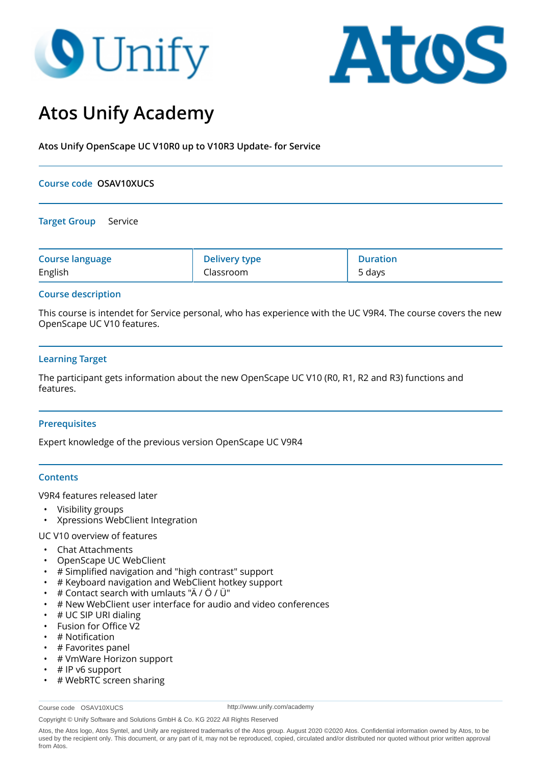# **9** Unify



# **Atos Unify Academy**

**Atos Unify OpenScape UC V10R0 up to V10R3 Update- for Service**

## **Course code OSAV10XUCS**

#### **Target Group** Service

| <b>Course language</b> | <b>Delivery type</b> | <b>Duration</b> |
|------------------------|----------------------|-----------------|
| English                | Classroom            | 5 days          |

# **Course description**

This course is intendet for Service personal, who has experience with the UC V9R4. The course covers the new OpenScape UC V10 features.

# **Learning Target**

The participant gets information about the new OpenScape UC V10 (R0, R1, R2 and R3) functions and features.

#### **Prerequisites**

Expert knowledge of the previous version OpenScape UC V9R4

#### **Contents**

V9R4 features released later

- Visibility groups
- Xpressions WebClient Integration

#### UC V10 overview of features

- Chat Attachments
- OpenScape UC WebClient
- # Simplified navigation and "high contrast" support
- # Keyboard navigation and WebClient hotkey support
- # Contact search with umlauts "Ä / Ö / Ü"
- # New WebClient user interface for audio and video conferences
- # UC SIP URI dialing
- Fusion for Office V2
- # Notification
- # Favorites panel
- # VmWare Horizon support
- # IP v6 support
- # WebRTC screen sharing

Course code OSAV10XUCS

http://www.unify.com/academy

Copyright © Unify Software and Solutions GmbH & Co. KG 2022 All Rights Reserved

Atos, the Atos logo, Atos Syntel, and Unify are registered trademarks of the Atos group. August 2020 ©2020 Atos. Confidential information owned by Atos, to be used by the recipient only. This document, or any part of it, may not be reproduced, copied, circulated and/or distributed nor quoted without prior written approval from Atos.